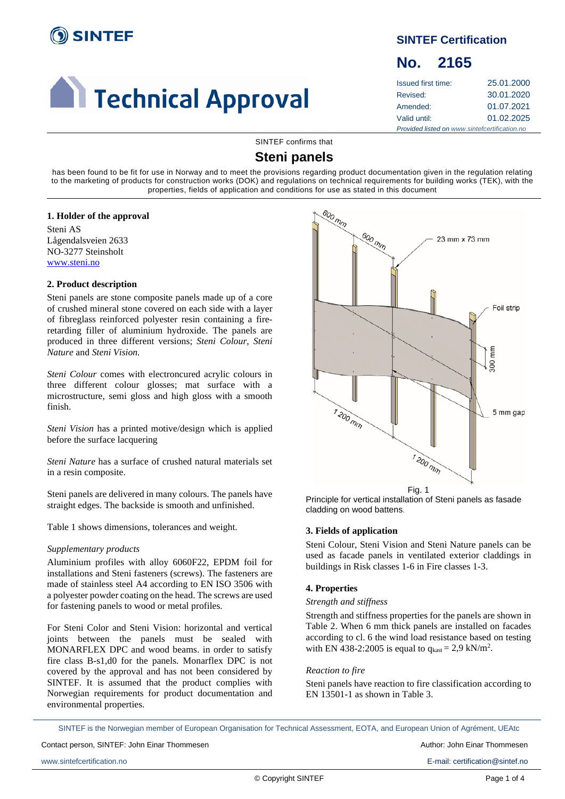

# **Call Technical Approval**

# **SINTEF Certification**

# **No. 2165**

| <b>Issued first time:</b>                     | 25.01.2000 |  |
|-----------------------------------------------|------------|--|
| Revised:                                      | 30.01.2020 |  |
| Amended:                                      | 01.07.2021 |  |
| Valid until:                                  | 01.02.2025 |  |
| Provided listed on www.sintefcertification.no |            |  |

SINTEF confirms that

# **Steni panels**

has been found to be fit for use in Norway and to meet the provisions regarding product documentation given in the regulation relating to the marketing of products for construction works (DOK) and regulations on technical requirements for building works (TEK), with the properties, fields of application and conditions for use as stated in this document

#### **1. Holder of the approval**

Steni AS Lågendalsveien 2633 NO-3277 Steinsholt [www.steni.no](http://www.steni.no/)

# **2. Product description**

Steni panels are stone composite panels made up of a core of crushed mineral stone covered on each side with a layer of fibreglass reinforced polyester resin containing a fireretarding filler of aluminium hydroxide. The panels are produced in three different versions; *Steni Colour, Steni Nature* and *Steni Vision.*

*Steni Colour* comes with electroncured acrylic colours in three different colour glosses; mat surface with a microstructure, semi gloss and high gloss with a smooth finish.

*Steni Vision* has a printed motive/design which is applied before the surface lacquering

*Steni Nature* has a surface of crushed natural materials set in a resin composite.

Steni panels are delivered in many colours. The panels have straight edges. The backside is smooth and unfinished.

Table 1 shows dimensions, tolerances and weight.

# *Supplementary products*

Aluminium profiles with alloy 6060F22, EPDM foil for installations and Steni fasteners (screws). The fasteners are made of stainless steel A4 according to EN ISO 3506 with a polyester powder coating on the head. The screws are used for fastening panels to wood or metal profiles.

For Steni Color and Steni Vision: horizontal and vertical joints between the panels must be sealed with MONARFLEX DPC and wood beams. in order to satisfy fire class B-s1,d0 for the panels. Monarflex DPC is not covered by the approval and has not been considered by SINTEF. It is assumed that the product complies with Norwegian requirements for product documentation and environmental properties.



Fig. 1

Principle for vertical installation of Steni panels as fasade cladding on wood battens.

# **3. Fields of application**

Steni Colour, Steni Vision and Steni Nature panels can be used as facade panels in ventilated exterior claddings in buildings in Risk classes 1-6 in Fire classes 1-3.

# **4. Properties**

#### *Strength and stiffness*

Strength and stiffness properties for the panels are shown in Table 2. When 6 mm thick panels are installed on facades according to cl. 6 the wind load resistance based on testing with EN 438-2:2005 is equal to  $q_{kast} = 2.9 \text{ kN/m}^2$ .

# *Reaction to fire*

Steni panels have reaction to fire classification according to EN 13501-1 as shown in Table 3.

SINTEF is the Norwegian member of European Organisation for Technical Assessment, EOTA, and European Union of Agrément, UEAtc

Contact person, SINTEF: John Einar Thommesen **Author: John Einar Thommesen** Author: John Einar Thommesen

www.sintefcertification.no E-mail: certification@sintef.no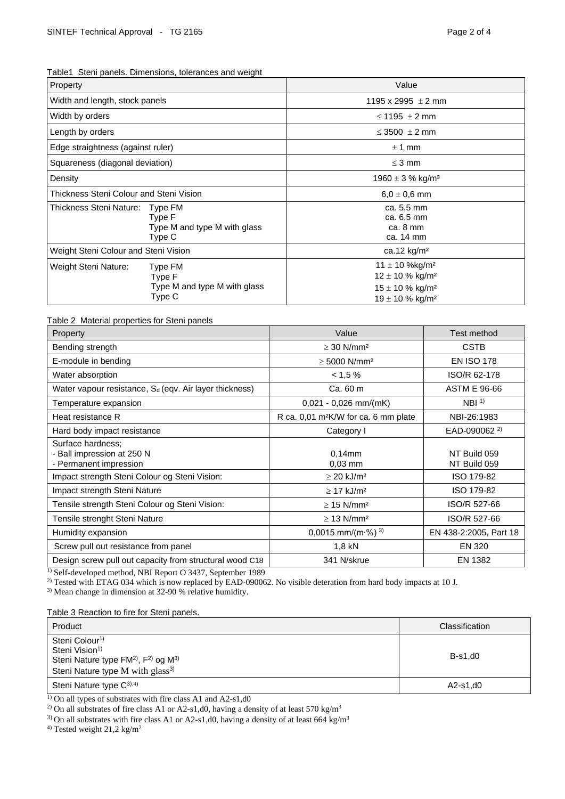Table1 Steni panels. Dimensions, tolerances and weight

| Property                                                      |                                         | Value                                                                                                                                   |  |
|---------------------------------------------------------------|-----------------------------------------|-----------------------------------------------------------------------------------------------------------------------------------------|--|
| Width and length, stock panels                                |                                         | 1195 x 2995 $\pm$ 2 mm                                                                                                                  |  |
| Width by orders                                               |                                         | $\leq$ 1195 $\pm$ 2 mm                                                                                                                  |  |
| Length by orders                                              |                                         | $\leq$ 3500 $\pm$ 2 mm                                                                                                                  |  |
| Edge straightness (against ruler)                             |                                         | $± 1$ mm                                                                                                                                |  |
| Squareness (diagonal deviation)                               |                                         | $\leq$ 3 mm                                                                                                                             |  |
| Density                                                       |                                         | 1960 $\pm$ 3 % kg/m <sup>3</sup>                                                                                                        |  |
| Thickness Steni Colour and Steni Vision                       |                                         | $6,0 \pm 0,6$ mm                                                                                                                        |  |
| <b>Thickness Steni Nature:</b><br>Type FM<br>Type F<br>Type C | Type M and type M with glass            | ca. 5,5 mm<br>ca. 6,5 mm<br>ca. 8 mm<br>ca. 14 mm                                                                                       |  |
| Weight Steni Colour and Steni Vision                          |                                         | ca.12 kg/m <sup>2</sup>                                                                                                                 |  |
| Weight Steni Nature:<br>Type F<br>Type C                      | Type FM<br>Type M and type M with glass | $11 \pm 10$ %kg/m <sup>2</sup><br>$12 \pm 10$ % kg/m <sup>2</sup><br>$15 \pm 10$ % kg/m <sup>2</sup><br>$19 \pm 10$ % kg/m <sup>2</sup> |  |

Table 2 Material properties for Steni panels

| Value                                            | Test method                  |
|--------------------------------------------------|------------------------------|
| $\geq$ 30 N/mm <sup>2</sup>                      | <b>CSTB</b>                  |
| $\geq$ 5000 N/mm <sup>2</sup>                    | <b>EN ISO 178</b>            |
| < 1.5 %                                          | ISO/R 62-178                 |
| Ca. 60 m                                         | <b>ASTM E 96-66</b>          |
| $0,021 - 0,026$ mm/(mK)                          | NBI <sup>1</sup>             |
| R ca. 0,01 m <sup>2</sup> K/W for ca. 6 mm plate | NBI-26:1983                  |
| Category I                                       | EAD-090062 <sup>2)</sup>     |
| $0.14$ mm<br>$0.03$ mm                           | NT Build 059<br>NT Build 059 |
| $\geq$ 20 kJ/m <sup>2</sup>                      | ISO 179-82                   |
| $\geq$ 17 kJ/m <sup>2</sup>                      | ISO 179-82                   |
| $\geq$ 15 N/mm <sup>2</sup>                      | ISO/R 527-66                 |
| $\geq$ 13 N/mm <sup>2</sup>                      | ISO/R 527-66                 |
| 0,0015 mm/(m $\cdot$ %) <sup>3)</sup>            | EN 438-2:2005, Part 18       |
| 1,8 kN                                           | EN 320                       |
| 341 N/skrue                                      | EN 1382                      |
|                                                  |                              |

<sup>1)</sup> Self-developed method, NBI Report O 3437, September 1989

<sup>2)</sup> Tested with ETAG 034 which is now replaced by EAD-090062. No visible deteration from hard body impacts at 10 J.

3) Mean change in dimension at 32-90 % relative humidity.

Table 3 Reaction to fire for Steni panels.

| Product                                                                                                                                                                             | Classification |
|-------------------------------------------------------------------------------------------------------------------------------------------------------------------------------------|----------------|
| Steni Colour <sup>1)</sup><br>Steni Vision <sup>1)</sup><br>Steni Nature type FM <sup>2)</sup> , F <sup>2)</sup> og M <sup>3)</sup><br>Steni Nature type M with glass <sup>3)</sup> | $B-s1.d0$      |
| Steni Nature type $C^{3(,4)}$                                                                                                                                                       | $A2-S1, d0$    |

<sup>1)</sup> On all types of substrates with fire class A1 and A2-s1,d0

<sup>2)</sup> On all substrates of fire class A1 or A2-s1,d0, having a density of at least 570 kg/m<sup>3</sup>

<sup>3)</sup> On all substrates with fire class A1 or A2-s1,d0, having a density of at least 664 kg/m<sup>3</sup>

<sup>4)</sup> Tested weight  $21,2$  kg/m<sup>2</sup>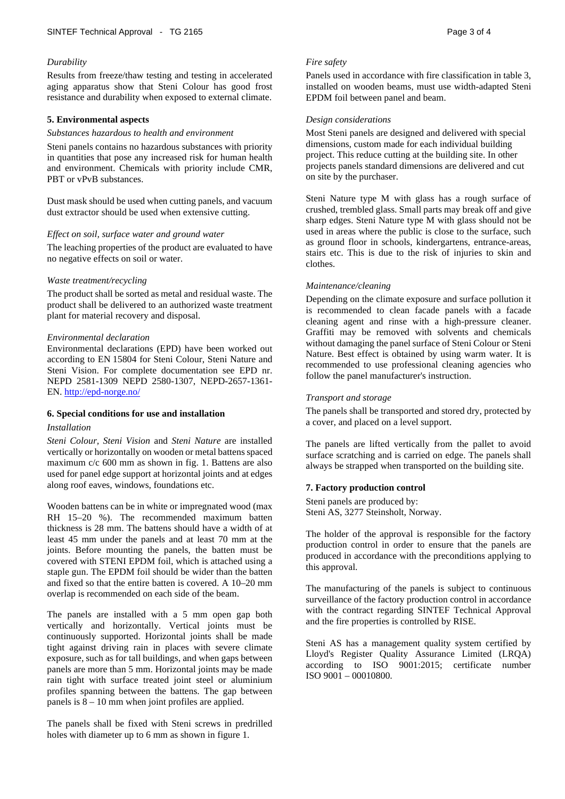## *Durability*

Results from freeze/thaw testing and testing in accelerated aging apparatus show that Steni Colour has good frost resistance and durability when exposed to external climate.

## **5. Environmental aspects**

#### *Substances hazardous to health and environment*

Steni panels contains no hazardous substances with priority in quantities that pose any increased risk for human health and environment. Chemicals with priority include CMR, PBT or vPvB substances.

Dust mask should be used when cutting panels, and vacuum dust extractor should be used when extensive cutting.

#### *Effect on soil, surface water and ground water*

The leaching properties of the product are evaluated to have no negative effects on soil or water.

#### *Waste treatment/recycling*

The product shall be sorted as metal and residual waste. The product shall be delivered to an authorized waste treatment plant for material recovery and disposal.

#### *Environmental declaration*

Environmental declarations (EPD) have been worked out according to EN 15804 for Steni Colour, Steni Nature and Steni Vision. For complete documentation see EPD nr. NEPD 2581-1309 NEPD 2580-1307, NEPD-2657-1361- EN.<http://epd-norge.no/>

# **6. Special conditions for use and installation**

#### *Installation*

*Steni Colour, Steni Vision* and *Steni Nature* are installed vertically or horizontally on wooden or metal battens spaced maximum c/c 600 mm as shown in fig. 1. Battens are also used for panel edge support at horizontal joints and at edges along roof eaves, windows, foundations etc.

Wooden battens can be in white or impregnated wood (max RH 15–20 %). The recommended maximum batten thickness is 28 mm. The battens should have a width of at least 45 mm under the panels and at least 70 mm at the joints. Before mounting the panels, the batten must be covered with STENI EPDM foil, which is attached using a staple gun. The EPDM foil should be wider than the batten and fixed so that the entire batten is covered. A 10–20 mm overlap is recommended on each side of the beam.

The panels are installed with a 5 mm open gap both vertically and horizontally. Vertical joints must be continuously supported. Horizontal joints shall be made tight against driving rain in places with severe climate exposure, such as for tall buildings, and when gaps between panels are more than 5 mm. Horizontal joints may be made rain tight with surface treated joint steel or aluminium profiles spanning between the battens. The gap between panels is 8 – 10 mm when joint profiles are applied.

The panels shall be fixed with Steni screws in predrilled holes with diameter up to 6 mm as shown in figure 1.

#### *Fire safety*

Panels used in accordance with fire classification in table 3, installed on wooden beams, must use width-adapted Steni EPDM foil between panel and beam.

#### *Design considerations*

Most Steni panels are designed and delivered with special dimensions, custom made for each individual building project. This reduce cutting at the building site. In other projects panels standard dimensions are delivered and cut on site by the purchaser.

Steni Nature type M with glass has a rough surface of crushed, trembled glass. Small parts may break off and give sharp edges. Steni Nature type M with glass should not be used in areas where the public is close to the surface, such as ground floor in schools, kindergartens, entrance-areas, stairs etc. This is due to the risk of injuries to skin and clothes.

#### *Maintenance/cleaning*

Depending on the climate exposure and surface pollution it is recommended to clean facade panels with a facade cleaning agent and rinse with a high-pressure cleaner. Graffiti may be removed with solvents and chemicals without damaging the panel surface of Steni Colour or Steni Nature. Best effect is obtained by using warm water. It is recommended to use professional cleaning agencies who follow the panel manufacturer's instruction.

#### *Transport and storage*

The panels shall be transported and stored dry, protected by a cover, and placed on a level support.

The panels are lifted vertically from the pallet to avoid surface scratching and is carried on edge. The panels shall always be strapped when transported on the building site.

#### **7. Factory production control**

Steni panels are produced by: Steni AS, 3277 Steinsholt, Norway.

The holder of the approval is responsible for the factory production control in order to ensure that the panels are produced in accordance with the preconditions applying to this approval.

The manufacturing of the panels is subject to continuous surveillance of the factory production control in accordance with the contract regarding SINTEF Technical Approval and the fire properties is controlled by RISE.

Steni AS has a management quality system certified by Lloyd's Register Quality Assurance Limited (LRQA) according to ISO 9001:2015; certificate number ISO 9001 – 00010800.